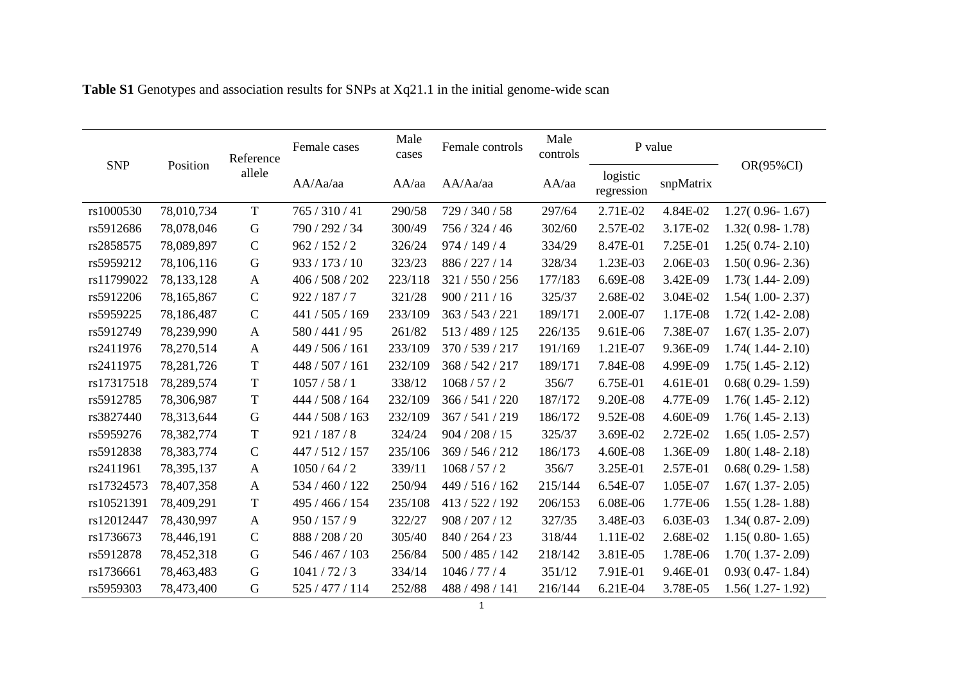|            |            | Reference     | Male<br>Female cases<br>cases |         | Female controls | Male<br>controls | P value                |           |                     |
|------------|------------|---------------|-------------------------------|---------|-----------------|------------------|------------------------|-----------|---------------------|
| <b>SNP</b> | Position   | allele        | AA/Aa/aa                      | AA/aa   | AA/Aa/aa        | AA/aa            | logistic<br>regression | snpMatrix | $OR(95\%CI)$        |
| rs1000530  | 78,010,734 | $\mathbf T$   | 765 / 310 / 41                | 290/58  | 729 / 340 / 58  | 297/64           | 2.71E-02               | 4.84E-02  | $1.27(0.96 - 1.67)$ |
| rs5912686  | 78,078,046 | G             | 790 / 292 / 34                | 300/49  | 756 / 324 / 46  | 302/60           | 2.57E-02               | 3.17E-02  | $1.32(0.98 - 1.78)$ |
| rs2858575  | 78,089,897 | $\mathbf C$   | 962 / 152 / 2                 | 326/24  | 974/149/4       | 334/29           | 8.47E-01               | 7.25E-01  | $1.25(0.74-2.10)$   |
| rs5959212  | 78,106,116 | $\mathbf G$   | 933 / 173 / 10                | 323/23  | 886 / 227 / 14  | 328/34           | 1.23E-03               | 2.06E-03  | $1.50(0.96 - 2.36)$ |
| rs11799022 | 78,133,128 | $\mathbf{A}$  | 406 / 508 / 202               | 223/118 | 321/550/256     | 177/183          | 6.69E-08               | 3.42E-09  | $1.73(1.44 - 2.09)$ |
| rs5912206  | 78,165,867 | $\mathbf C$   | 922 / 187 / 7                 | 321/28  | 900/211/16      | 325/37           | 2.68E-02               | 3.04E-02  | $1.54(1.00 - 2.37)$ |
| rs5959225  | 78,186,487 | $\mathbf C$   | 441 / 505 / 169               | 233/109 | 363 / 543 / 221 | 189/171          | 2.00E-07               | 1.17E-08  | $1.72(1.42 - 2.08)$ |
| rs5912749  | 78,239,990 | $\mathbf{A}$  | 580/441/95                    | 261/82  | 513/489/125     | 226/135          | 9.61E-06               | 7.38E-07  | $1.67(1.35 - 2.07)$ |
| rs2411976  | 78,270,514 | A             | 449 / 506 / 161               | 233/109 | 370 / 539 / 217 | 191/169          | 1.21E-07               | 9.36E-09  | $1.74(1.44 - 2.10)$ |
| rs2411975  | 78,281,726 | $\mathbf T$   | 448 / 507 / 161               | 232/109 | 368 / 542 / 217 | 189/171          | 7.84E-08               | 4.99E-09  | $1.75(1.45 - 2.12)$ |
| rs17317518 | 78,289,574 | $\mathbf T$   | 1057/58/1                     | 338/12  | 1068 / 57 / 2   | 356/7            | 6.75E-01               | 4.61E-01  | $0.68(0.29 - 1.59)$ |
| rs5912785  | 78,306,987 | $\mathbf T$   | 444 / 508 / 164               | 232/109 | 366 / 541 / 220 | 187/172          | 9.20E-08               | 4.77E-09  | $1.76(1.45 - 2.12)$ |
| rs3827440  | 78,313,644 | $\mathbf G$   | 444 / 508 / 163               | 232/109 | 367 / 541 / 219 | 186/172          | 9.52E-08               | 4.60E-09  | $1.76(1.45 - 2.13)$ |
| rs5959276  | 78,382,774 | $\mathbf T$   | 921/187/8                     | 324/24  | 904 / 208 / 15  | 325/37           | 3.69E-02               | 2.72E-02  | $1.65(1.05 - 2.57)$ |
| rs5912838  | 78,383,774 | $\mathbf C$   | 447 / 512 / 157               | 235/106 | 369 / 546 / 212 | 186/173          | 4.60E-08               | 1.36E-09  | $1.80(1.48-2.18)$   |
| rs2411961  | 78,395,137 | $\mathbf{A}$  | 1050/64/2                     | 339/11  | 1068/57/2       | 356/7            | 3.25E-01               | 2.57E-01  | $0.68(0.29 - 1.58)$ |
| rs17324573 | 78,407,358 | $\mathbf{A}$  | 534 / 460 / 122               | 250/94  | 449 / 516 / 162 | 215/144          | 6.54E-07               | 1.05E-07  | $1.67(1.37 - 2.05)$ |
| rs10521391 | 78,409,291 | $\mathbf T$   | 495 / 466 / 154               | 235/108 | 413 / 522 / 192 | 206/153          | 6.08E-06               | 1.77E-06  | $1.55(1.28-1.88)$   |
| rs12012447 | 78,430,997 | $\mathbf{A}$  | 950 / 157 / 9                 | 322/27  | 908 / 207 / 12  | 327/35           | 3.48E-03               | 6.03E-03  | $1.34(0.87 - 2.09)$ |
| rs1736673  | 78,446,191 | $\mathcal{C}$ | 888 / 208 / 20                | 305/40  | 840 / 264 / 23  | 318/44           | 1.11E-02               | 2.68E-02  | $1.15(0.80 - 1.65)$ |
| rs5912878  | 78,452,318 | G             | 546 / 467 / 103               | 256/84  | 500 / 485 / 142 | 218/142          | 3.81E-05               | 1.78E-06  | $1.70(1.37 - 2.09)$ |
| rs1736661  | 78,463,483 | G             | 1041/72/3                     | 334/14  | 1046/77/4       | 351/12           | 7.91E-01               | 9.46E-01  | $0.93(0.47 - 1.84)$ |
| rs5959303  | 78,473,400 | G             | 525 / 477 / 114               | 252/88  | 488 / 498 / 141 | 216/144          | 6.21E-04               | 3.78E-05  | $1.56(1.27-1.92)$   |

## **Table S1** Genotypes and association results for SNPs at Xq21.1 in the initial genome-wide scan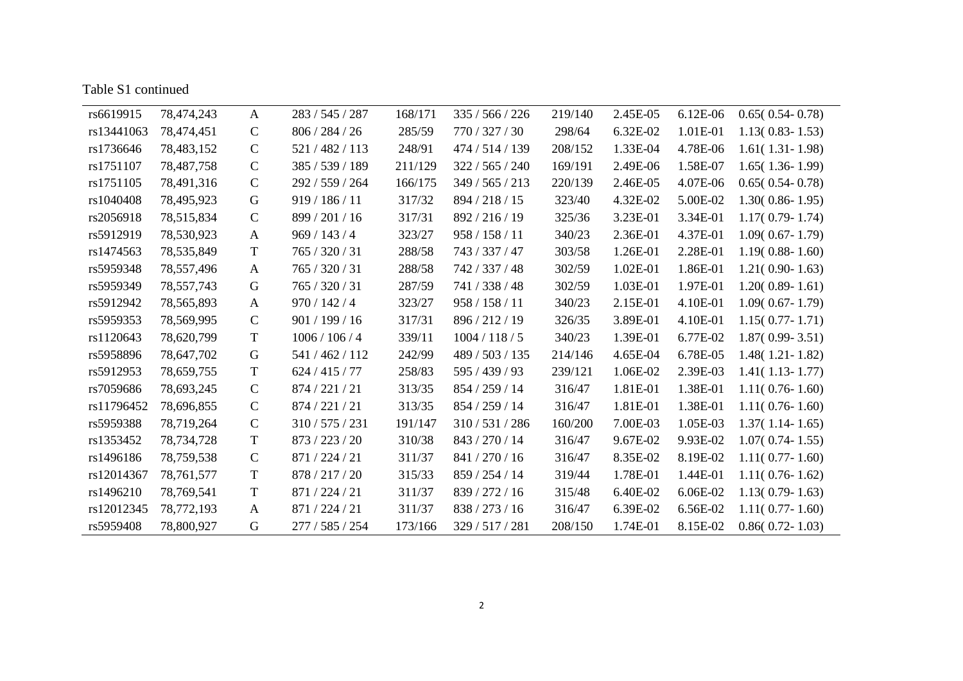|  | Table S1 continued |
|--|--------------------|
|--|--------------------|

| 6.12E-06<br>78,474,243<br>283 / 545 / 287<br>168/171<br>219/140<br>2.45E-05<br>$0.65(0.54-0.78)$<br>rs6619915<br>$\mathbf{A}$<br>335/566/226<br>$\mathcal{C}$<br>806 / 284 / 26<br>285/59<br>770 / 327 / 30<br>6.32E-02<br>1.01E-01<br>rs13441063<br>78,474,451<br>298/64<br>$1.13(0.83 - 1.53)$<br>$\mathbf C$<br>248/91<br>1.33E-04<br>4.78E-06<br>rs1736646<br>78,483,152<br>521/482/113<br>474 / 514 / 139<br>208/152<br>$1.61(1.31-1.98)$<br>$\mathbf C$<br>1.58E-07<br>rs1751107<br>385 / 539 / 189<br>211/129<br>322 / 565 / 240<br>169/191<br>2.49E-06<br>$1.65(1.36-1.99)$<br>78,487,758<br>$\mathbf C$<br>2.46E-05<br>rs1751105<br>292 / 559 / 264<br>166/175<br>349 / 565 / 213<br>220/139<br>4.07E-06<br>$0.65(0.54-0.78)$<br>78,491,316<br>rs1040408<br>G<br>919 / 186 / 11<br>317/32<br>894 / 218 / 15<br>323/40<br>4.32E-02<br>5.00E-02<br>78,495,923<br>$1.30(0.86 - 1.95)$<br>$\mathbf C$<br>3.23E-01<br>rs2056918<br>78,515,834<br>899 / 201 / 16<br>317/31<br>892 / 216 / 19<br>325/36<br>3.34E-01<br>$1.17(0.79-1.74)$<br>969/143/4<br>323/27<br>958 / 158 / 11<br>340/23<br>2.36E-01<br>4.37E-01<br>rs5912919<br>78,530,923<br>$1.09(0.67 - 1.79)$<br>$\mathbf{A}$<br>$\mathbf T$<br>rs1474563<br>765 / 320 / 31<br>288/58<br>743 / 337 / 47<br>303/58<br>1.26E-01<br>2.28E-01<br>78,535,849<br>$1.19(0.88 - 1.60)$<br>765 / 320 / 31<br>742 / 337 / 48<br>302/59<br>1.02E-01<br>1.86E-01<br>rs5959348<br>78,557,496<br>288/58<br>$1.21(0.90 - 1.63)$<br>A<br>765 / 320 / 31<br>741 / 338 / 48<br>302/59<br>1.03E-01<br>1.97E-01<br>rs5959349<br>78,557,743<br>287/59<br>$1.20(0.89 - 1.61)$<br>G<br>970/142/4<br>958 / 158 / 11<br>2.15E-01<br>rs5912942<br>78,565,893<br>323/27<br>340/23<br>4.10E-01<br>$1.09(0.67 - 1.79)$<br>A<br>896 / 212 / 19<br>3.89E-01<br>4.10E-01<br>rs5959353<br>78,569,995<br>$\mathcal{C}$<br>901/199/16<br>317/31<br>326/35<br>$1.15(0.77 - 1.71)$<br>rs1120643<br>$\mathbf T$<br>1006 / 106 / 4<br>339/11<br>340/23<br>1.39E-01<br>78,620,799<br>1004 / 118 / 5<br>6.77E-02<br>$1.87(0.99 - 3.51)$<br>4.65E-04<br>6.78E-05<br>rs5958896<br>78,647,702<br>G<br>541 / 462 / 112<br>242/99<br>489 / 503 / 135<br>214/146<br>$1.48(1.21 - 1.82)$<br>T<br>595 / 439 / 93<br>1.06E-02<br>rs5912953<br>624 / 415 / 77<br>258/83<br>239/121<br>2.39E-03<br>$1.41(1.13-1.77)$<br>78,659,755<br>$\mathbf C$<br>313/35<br>1.81E-01<br>1.38E-01<br>rs7059686<br>78,693,245<br>874 / 221 / 21<br>854 / 259 / 14<br>316/47<br>$1.11(0.76-1.60)$<br>$\mathbf C$<br>313/35<br>854 / 259 / 14<br>1.81E-01<br>1.38E-01<br>rs11796452<br>874 / 221 / 21<br>316/47<br>78,696,855<br>$1.11(0.76-1.60)$<br>$\mathcal{C}$<br>rs5959388<br>78,719,264<br>310/575/231<br>191/147<br>310/531/286<br>160/200<br>7.00E-03<br>1.05E-03<br>$1.37(1.14-1.65)$<br>$\mathbf T$<br>843 / 270 / 14<br>rs1353452<br>873 / 223 / 20<br>310/38<br>316/47<br>9.67E-02<br>9.93E-02<br>$1.07(0.74 - 1.55)$<br>78,734,728<br>$\mathbf C$<br>rs1496186<br>871 / 224 / 21<br>311/37<br>841 / 270 / 16<br>316/47<br>8.35E-02<br>8.19E-02<br>$1.11(0.77-1.60)$<br>78,759,538<br>$\mathbf T$<br>1.78E-01<br>rs12014367<br>878 / 217 / 20<br>315/33<br>859 / 254 / 14<br>319/44<br>1.44E-01<br>78,761,577<br>$1.11(0.76-1.62)$<br>$\mathbf T$<br>rs1496210<br>871 / 224 / 21<br>311/37<br>839 / 272 / 16<br>315/48<br>6.40E-02<br>6.06E-02<br>78,769,541<br>$1.13(0.79-1.63)$<br>rs12012345<br>871 / 224 / 21<br>311/37<br>838 / 273 / 16<br>316/47<br>6.39E-02<br>6.56E-02<br>78,772,193<br>$1.11(0.77-1.60)$<br>$\mathbf{A}$<br>G<br>1.74E-01<br>8.15E-02<br>rs5959408<br>78,800,927<br>277 / 585 / 254<br>173/166<br>329 / 517 / 281<br>208/150<br>$0.86(0.72 - 1.03)$ |  |  |  |  |  |
|---------------------------------------------------------------------------------------------------------------------------------------------------------------------------------------------------------------------------------------------------------------------------------------------------------------------------------------------------------------------------------------------------------------------------------------------------------------------------------------------------------------------------------------------------------------------------------------------------------------------------------------------------------------------------------------------------------------------------------------------------------------------------------------------------------------------------------------------------------------------------------------------------------------------------------------------------------------------------------------------------------------------------------------------------------------------------------------------------------------------------------------------------------------------------------------------------------------------------------------------------------------------------------------------------------------------------------------------------------------------------------------------------------------------------------------------------------------------------------------------------------------------------------------------------------------------------------------------------------------------------------------------------------------------------------------------------------------------------------------------------------------------------------------------------------------------------------------------------------------------------------------------------------------------------------------------------------------------------------------------------------------------------------------------------------------------------------------------------------------------------------------------------------------------------------------------------------------------------------------------------------------------------------------------------------------------------------------------------------------------------------------------------------------------------------------------------------------------------------------------------------------------------------------------------------------------------------------------------------------------------------------------------------------------------------------------------------------------------------------------------------------------------------------------------------------------------------------------------------------------------------------------------------------------------------------------------------------------------------------------------------------------------------------------------------------------------------------------------------------------------------------------------------------------------------------------------------------------------------------------------------------------------------------------------------------------------------------------------------------------------------------------------------------------------------------------------------------------------------------------------------------------------------------------------------------------------------------------------------------------------------------------------------------------------------|--|--|--|--|--|
|                                                                                                                                                                                                                                                                                                                                                                                                                                                                                                                                                                                                                                                                                                                                                                                                                                                                                                                                                                                                                                                                                                                                                                                                                                                                                                                                                                                                                                                                                                                                                                                                                                                                                                                                                                                                                                                                                                                                                                                                                                                                                                                                                                                                                                                                                                                                                                                                                                                                                                                                                                                                                                                                                                                                                                                                                                                                                                                                                                                                                                                                                                                                                                                                                                                                                                                                                                                                                                                                                                                                                                                                                                                                                 |  |  |  |  |  |
|                                                                                                                                                                                                                                                                                                                                                                                                                                                                                                                                                                                                                                                                                                                                                                                                                                                                                                                                                                                                                                                                                                                                                                                                                                                                                                                                                                                                                                                                                                                                                                                                                                                                                                                                                                                                                                                                                                                                                                                                                                                                                                                                                                                                                                                                                                                                                                                                                                                                                                                                                                                                                                                                                                                                                                                                                                                                                                                                                                                                                                                                                                                                                                                                                                                                                                                                                                                                                                                                                                                                                                                                                                                                                 |  |  |  |  |  |
|                                                                                                                                                                                                                                                                                                                                                                                                                                                                                                                                                                                                                                                                                                                                                                                                                                                                                                                                                                                                                                                                                                                                                                                                                                                                                                                                                                                                                                                                                                                                                                                                                                                                                                                                                                                                                                                                                                                                                                                                                                                                                                                                                                                                                                                                                                                                                                                                                                                                                                                                                                                                                                                                                                                                                                                                                                                                                                                                                                                                                                                                                                                                                                                                                                                                                                                                                                                                                                                                                                                                                                                                                                                                                 |  |  |  |  |  |
|                                                                                                                                                                                                                                                                                                                                                                                                                                                                                                                                                                                                                                                                                                                                                                                                                                                                                                                                                                                                                                                                                                                                                                                                                                                                                                                                                                                                                                                                                                                                                                                                                                                                                                                                                                                                                                                                                                                                                                                                                                                                                                                                                                                                                                                                                                                                                                                                                                                                                                                                                                                                                                                                                                                                                                                                                                                                                                                                                                                                                                                                                                                                                                                                                                                                                                                                                                                                                                                                                                                                                                                                                                                                                 |  |  |  |  |  |
|                                                                                                                                                                                                                                                                                                                                                                                                                                                                                                                                                                                                                                                                                                                                                                                                                                                                                                                                                                                                                                                                                                                                                                                                                                                                                                                                                                                                                                                                                                                                                                                                                                                                                                                                                                                                                                                                                                                                                                                                                                                                                                                                                                                                                                                                                                                                                                                                                                                                                                                                                                                                                                                                                                                                                                                                                                                                                                                                                                                                                                                                                                                                                                                                                                                                                                                                                                                                                                                                                                                                                                                                                                                                                 |  |  |  |  |  |
|                                                                                                                                                                                                                                                                                                                                                                                                                                                                                                                                                                                                                                                                                                                                                                                                                                                                                                                                                                                                                                                                                                                                                                                                                                                                                                                                                                                                                                                                                                                                                                                                                                                                                                                                                                                                                                                                                                                                                                                                                                                                                                                                                                                                                                                                                                                                                                                                                                                                                                                                                                                                                                                                                                                                                                                                                                                                                                                                                                                                                                                                                                                                                                                                                                                                                                                                                                                                                                                                                                                                                                                                                                                                                 |  |  |  |  |  |
|                                                                                                                                                                                                                                                                                                                                                                                                                                                                                                                                                                                                                                                                                                                                                                                                                                                                                                                                                                                                                                                                                                                                                                                                                                                                                                                                                                                                                                                                                                                                                                                                                                                                                                                                                                                                                                                                                                                                                                                                                                                                                                                                                                                                                                                                                                                                                                                                                                                                                                                                                                                                                                                                                                                                                                                                                                                                                                                                                                                                                                                                                                                                                                                                                                                                                                                                                                                                                                                                                                                                                                                                                                                                                 |  |  |  |  |  |
|                                                                                                                                                                                                                                                                                                                                                                                                                                                                                                                                                                                                                                                                                                                                                                                                                                                                                                                                                                                                                                                                                                                                                                                                                                                                                                                                                                                                                                                                                                                                                                                                                                                                                                                                                                                                                                                                                                                                                                                                                                                                                                                                                                                                                                                                                                                                                                                                                                                                                                                                                                                                                                                                                                                                                                                                                                                                                                                                                                                                                                                                                                                                                                                                                                                                                                                                                                                                                                                                                                                                                                                                                                                                                 |  |  |  |  |  |
|                                                                                                                                                                                                                                                                                                                                                                                                                                                                                                                                                                                                                                                                                                                                                                                                                                                                                                                                                                                                                                                                                                                                                                                                                                                                                                                                                                                                                                                                                                                                                                                                                                                                                                                                                                                                                                                                                                                                                                                                                                                                                                                                                                                                                                                                                                                                                                                                                                                                                                                                                                                                                                                                                                                                                                                                                                                                                                                                                                                                                                                                                                                                                                                                                                                                                                                                                                                                                                                                                                                                                                                                                                                                                 |  |  |  |  |  |
|                                                                                                                                                                                                                                                                                                                                                                                                                                                                                                                                                                                                                                                                                                                                                                                                                                                                                                                                                                                                                                                                                                                                                                                                                                                                                                                                                                                                                                                                                                                                                                                                                                                                                                                                                                                                                                                                                                                                                                                                                                                                                                                                                                                                                                                                                                                                                                                                                                                                                                                                                                                                                                                                                                                                                                                                                                                                                                                                                                                                                                                                                                                                                                                                                                                                                                                                                                                                                                                                                                                                                                                                                                                                                 |  |  |  |  |  |
|                                                                                                                                                                                                                                                                                                                                                                                                                                                                                                                                                                                                                                                                                                                                                                                                                                                                                                                                                                                                                                                                                                                                                                                                                                                                                                                                                                                                                                                                                                                                                                                                                                                                                                                                                                                                                                                                                                                                                                                                                                                                                                                                                                                                                                                                                                                                                                                                                                                                                                                                                                                                                                                                                                                                                                                                                                                                                                                                                                                                                                                                                                                                                                                                                                                                                                                                                                                                                                                                                                                                                                                                                                                                                 |  |  |  |  |  |
|                                                                                                                                                                                                                                                                                                                                                                                                                                                                                                                                                                                                                                                                                                                                                                                                                                                                                                                                                                                                                                                                                                                                                                                                                                                                                                                                                                                                                                                                                                                                                                                                                                                                                                                                                                                                                                                                                                                                                                                                                                                                                                                                                                                                                                                                                                                                                                                                                                                                                                                                                                                                                                                                                                                                                                                                                                                                                                                                                                                                                                                                                                                                                                                                                                                                                                                                                                                                                                                                                                                                                                                                                                                                                 |  |  |  |  |  |
|                                                                                                                                                                                                                                                                                                                                                                                                                                                                                                                                                                                                                                                                                                                                                                                                                                                                                                                                                                                                                                                                                                                                                                                                                                                                                                                                                                                                                                                                                                                                                                                                                                                                                                                                                                                                                                                                                                                                                                                                                                                                                                                                                                                                                                                                                                                                                                                                                                                                                                                                                                                                                                                                                                                                                                                                                                                                                                                                                                                                                                                                                                                                                                                                                                                                                                                                                                                                                                                                                                                                                                                                                                                                                 |  |  |  |  |  |
|                                                                                                                                                                                                                                                                                                                                                                                                                                                                                                                                                                                                                                                                                                                                                                                                                                                                                                                                                                                                                                                                                                                                                                                                                                                                                                                                                                                                                                                                                                                                                                                                                                                                                                                                                                                                                                                                                                                                                                                                                                                                                                                                                                                                                                                                                                                                                                                                                                                                                                                                                                                                                                                                                                                                                                                                                                                                                                                                                                                                                                                                                                                                                                                                                                                                                                                                                                                                                                                                                                                                                                                                                                                                                 |  |  |  |  |  |
|                                                                                                                                                                                                                                                                                                                                                                                                                                                                                                                                                                                                                                                                                                                                                                                                                                                                                                                                                                                                                                                                                                                                                                                                                                                                                                                                                                                                                                                                                                                                                                                                                                                                                                                                                                                                                                                                                                                                                                                                                                                                                                                                                                                                                                                                                                                                                                                                                                                                                                                                                                                                                                                                                                                                                                                                                                                                                                                                                                                                                                                                                                                                                                                                                                                                                                                                                                                                                                                                                                                                                                                                                                                                                 |  |  |  |  |  |
|                                                                                                                                                                                                                                                                                                                                                                                                                                                                                                                                                                                                                                                                                                                                                                                                                                                                                                                                                                                                                                                                                                                                                                                                                                                                                                                                                                                                                                                                                                                                                                                                                                                                                                                                                                                                                                                                                                                                                                                                                                                                                                                                                                                                                                                                                                                                                                                                                                                                                                                                                                                                                                                                                                                                                                                                                                                                                                                                                                                                                                                                                                                                                                                                                                                                                                                                                                                                                                                                                                                                                                                                                                                                                 |  |  |  |  |  |
|                                                                                                                                                                                                                                                                                                                                                                                                                                                                                                                                                                                                                                                                                                                                                                                                                                                                                                                                                                                                                                                                                                                                                                                                                                                                                                                                                                                                                                                                                                                                                                                                                                                                                                                                                                                                                                                                                                                                                                                                                                                                                                                                                                                                                                                                                                                                                                                                                                                                                                                                                                                                                                                                                                                                                                                                                                                                                                                                                                                                                                                                                                                                                                                                                                                                                                                                                                                                                                                                                                                                                                                                                                                                                 |  |  |  |  |  |
|                                                                                                                                                                                                                                                                                                                                                                                                                                                                                                                                                                                                                                                                                                                                                                                                                                                                                                                                                                                                                                                                                                                                                                                                                                                                                                                                                                                                                                                                                                                                                                                                                                                                                                                                                                                                                                                                                                                                                                                                                                                                                                                                                                                                                                                                                                                                                                                                                                                                                                                                                                                                                                                                                                                                                                                                                                                                                                                                                                                                                                                                                                                                                                                                                                                                                                                                                                                                                                                                                                                                                                                                                                                                                 |  |  |  |  |  |
|                                                                                                                                                                                                                                                                                                                                                                                                                                                                                                                                                                                                                                                                                                                                                                                                                                                                                                                                                                                                                                                                                                                                                                                                                                                                                                                                                                                                                                                                                                                                                                                                                                                                                                                                                                                                                                                                                                                                                                                                                                                                                                                                                                                                                                                                                                                                                                                                                                                                                                                                                                                                                                                                                                                                                                                                                                                                                                                                                                                                                                                                                                                                                                                                                                                                                                                                                                                                                                                                                                                                                                                                                                                                                 |  |  |  |  |  |
|                                                                                                                                                                                                                                                                                                                                                                                                                                                                                                                                                                                                                                                                                                                                                                                                                                                                                                                                                                                                                                                                                                                                                                                                                                                                                                                                                                                                                                                                                                                                                                                                                                                                                                                                                                                                                                                                                                                                                                                                                                                                                                                                                                                                                                                                                                                                                                                                                                                                                                                                                                                                                                                                                                                                                                                                                                                                                                                                                                                                                                                                                                                                                                                                                                                                                                                                                                                                                                                                                                                                                                                                                                                                                 |  |  |  |  |  |
|                                                                                                                                                                                                                                                                                                                                                                                                                                                                                                                                                                                                                                                                                                                                                                                                                                                                                                                                                                                                                                                                                                                                                                                                                                                                                                                                                                                                                                                                                                                                                                                                                                                                                                                                                                                                                                                                                                                                                                                                                                                                                                                                                                                                                                                                                                                                                                                                                                                                                                                                                                                                                                                                                                                                                                                                                                                                                                                                                                                                                                                                                                                                                                                                                                                                                                                                                                                                                                                                                                                                                                                                                                                                                 |  |  |  |  |  |
|                                                                                                                                                                                                                                                                                                                                                                                                                                                                                                                                                                                                                                                                                                                                                                                                                                                                                                                                                                                                                                                                                                                                                                                                                                                                                                                                                                                                                                                                                                                                                                                                                                                                                                                                                                                                                                                                                                                                                                                                                                                                                                                                                                                                                                                                                                                                                                                                                                                                                                                                                                                                                                                                                                                                                                                                                                                                                                                                                                                                                                                                                                                                                                                                                                                                                                                                                                                                                                                                                                                                                                                                                                                                                 |  |  |  |  |  |
|                                                                                                                                                                                                                                                                                                                                                                                                                                                                                                                                                                                                                                                                                                                                                                                                                                                                                                                                                                                                                                                                                                                                                                                                                                                                                                                                                                                                                                                                                                                                                                                                                                                                                                                                                                                                                                                                                                                                                                                                                                                                                                                                                                                                                                                                                                                                                                                                                                                                                                                                                                                                                                                                                                                                                                                                                                                                                                                                                                                                                                                                                                                                                                                                                                                                                                                                                                                                                                                                                                                                                                                                                                                                                 |  |  |  |  |  |
|                                                                                                                                                                                                                                                                                                                                                                                                                                                                                                                                                                                                                                                                                                                                                                                                                                                                                                                                                                                                                                                                                                                                                                                                                                                                                                                                                                                                                                                                                                                                                                                                                                                                                                                                                                                                                                                                                                                                                                                                                                                                                                                                                                                                                                                                                                                                                                                                                                                                                                                                                                                                                                                                                                                                                                                                                                                                                                                                                                                                                                                                                                                                                                                                                                                                                                                                                                                                                                                                                                                                                                                                                                                                                 |  |  |  |  |  |
|                                                                                                                                                                                                                                                                                                                                                                                                                                                                                                                                                                                                                                                                                                                                                                                                                                                                                                                                                                                                                                                                                                                                                                                                                                                                                                                                                                                                                                                                                                                                                                                                                                                                                                                                                                                                                                                                                                                                                                                                                                                                                                                                                                                                                                                                                                                                                                                                                                                                                                                                                                                                                                                                                                                                                                                                                                                                                                                                                                                                                                                                                                                                                                                                                                                                                                                                                                                                                                                                                                                                                                                                                                                                                 |  |  |  |  |  |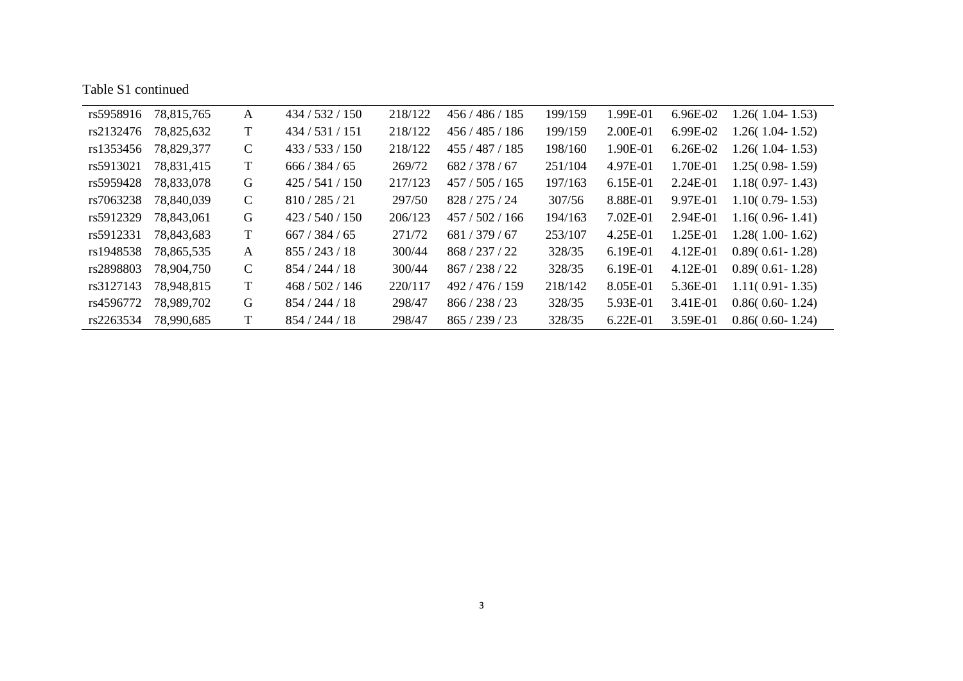| rs5958916 | 78,815,765 | A            | 434 / 532 / 150 | 218/122 | 456/486/185    | 199/159 | 1.99E-01   | 6.96E-02   | $1.26(1.04-1.53)$   |
|-----------|------------|--------------|-----------------|---------|----------------|---------|------------|------------|---------------------|
| rs2132476 | 78,825,632 | T            | 434/531/151     | 218/122 | 456/485/186    | 199/159 | 2.00E-01   | 6.99E-02   | $1.26(1.04-1.52)$   |
| rs1353456 | 78,829,377 | $\mathsf{C}$ | 433 / 533 / 150 | 218/122 | 455/487/185    | 198/160 | 1.90E-01   | $6.26E-02$ | $1.26(1.04-1.53)$   |
| rs5913021 | 78,831,415 | T            | 666/384/65      | 269/72  | 682/378/67     | 251/104 | 4.97E-01   | 1.70E-01   | $1.25(0.98-1.59)$   |
| rs5959428 | 78,833,078 | G            | 425/541/150     | 217/123 | 457/505/165    | 197/163 | 6.15E-01   | 2.24E-01   | $1.18(0.97 - 1.43)$ |
| rs7063238 | 78,840,039 | $\mathsf{C}$ | 810/285/21      | 297/50  | 828/275/24     | 307/56  | 8.88E-01   | 9.97E-01   | $1.10(0.79 - 1.53)$ |
| rs5912329 | 78,843,061 | G            | 423/540/150     | 206/123 | 457/502/166    | 194/163 | 7.02E-01   | 2.94E-01   | $1.16(0.96 - 1.41)$ |
| rs5912331 | 78,843,683 | T            | 667/384/65      | 271/72  | 681/379/67     | 253/107 | 4.25E-01   | 1.25E-01   | $1.28(1.00-1.62)$   |
| rs1948538 | 78,865,535 | A            | 855/243/18      | 300/44  | 868/237/22     | 328/35  | $6.19E-01$ | $4.12E-01$ | $0.89(0.61 - 1.28)$ |
| rs2898803 | 78,904,750 | $\mathbf C$  | 854 / 244 / 18  | 300/44  | 867 / 238 / 22 | 328/35  | 6.19E-01   | 4.12E-01   | $0.89(0.61 - 1.28)$ |
| rs3127143 | 78,948,815 | T            | 468/502/146     | 220/117 | 492/476/159    | 218/142 | 8.05E-01   | 5.36E-01   | $1.11(0.91 - 1.35)$ |
| rs4596772 | 78,989,702 | G            | 854/244/18      | 298/47  | 866 / 238 / 23 | 328/35  | 5.93E-01   | 3.41E-01   | $0.86(0.60 - 1.24)$ |
| rs2263534 | 78,990,685 | т            | 854/244/18      | 298/47  | 865/239/23     | 328/35  | $6.22E-01$ | 3.59E-01   | $0.86(0.60 - 1.24)$ |

e<br>Bar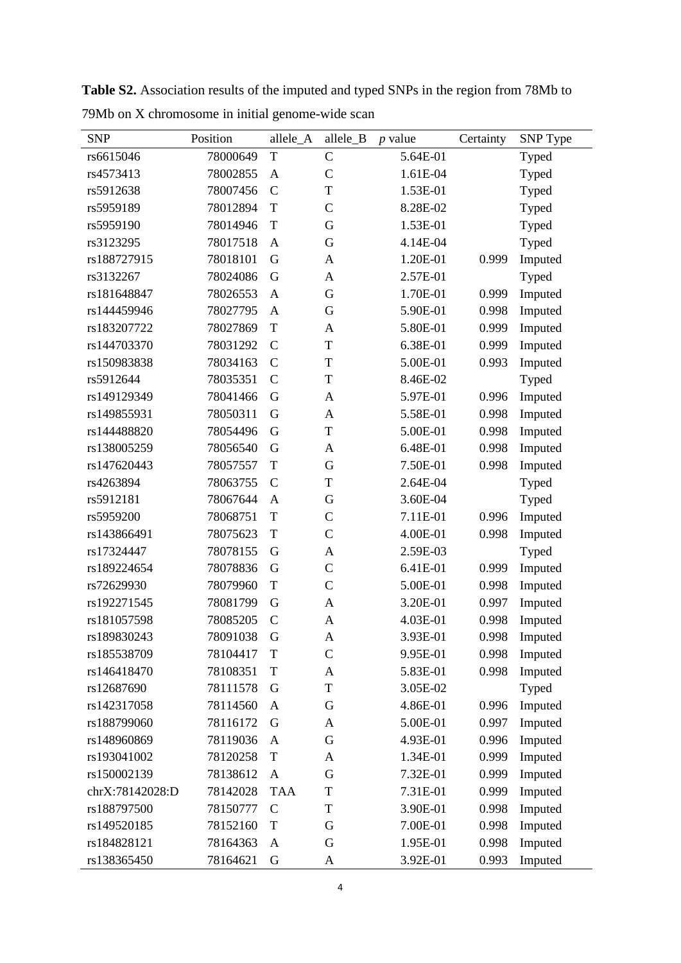| <b>SNP</b>      | Position | allele_A      | allele_B      | $p$ value | Certainty | SNP Type |
|-----------------|----------|---------------|---------------|-----------|-----------|----------|
| rs6615046       | 78000649 | T             | $\mathcal{C}$ | 5.64E-01  |           | Typed    |
| rs4573413       | 78002855 | A             | $\mathcal{C}$ | 1.61E-04  |           | Typed    |
| rs5912638       | 78007456 | $\mathcal{C}$ | $\mathbf T$   | 1.53E-01  |           | Typed    |
| rs5959189       | 78012894 | T             | $\mathcal{C}$ | 8.28E-02  |           | Typed    |
| rs5959190       | 78014946 | T             | G             | 1.53E-01  |           | Typed    |
| rs3123295       | 78017518 | A             | G             | 4.14E-04  |           | Typed    |
| rs188727915     | 78018101 | G             | A             | 1.20E-01  | 0.999     | Imputed  |
| rs3132267       | 78024086 | G             | A             | 2.57E-01  |           | Typed    |
| rs181648847     | 78026553 | $\mathbf{A}$  | G             | 1.70E-01  | 0.999     | Imputed  |
| rs144459946     | 78027795 | A             | G             | 5.90E-01  | 0.998     | Imputed  |
| rs183207722     | 78027869 | T             | A             | 5.80E-01  | 0.999     | Imputed  |
| rs144703370     | 78031292 | $\mathcal{C}$ | T             | 6.38E-01  | 0.999     | Imputed  |
| rs150983838     | 78034163 | $\mathcal{C}$ | T             | 5.00E-01  | 0.993     | Imputed  |
| rs5912644       | 78035351 | $\mathcal{C}$ | T             | 8.46E-02  |           | Typed    |
| rs149129349     | 78041466 | G             | A             | 5.97E-01  | 0.996     | Imputed  |
| rs149855931     | 78050311 | G             | A             | 5.58E-01  | 0.998     | Imputed  |
| rs144488820     | 78054496 | G             | T             | 5.00E-01  | 0.998     | Imputed  |
| rs138005259     | 78056540 | G             | A             | 6.48E-01  | 0.998     | Imputed  |
| rs147620443     | 78057557 | T             | G             | 7.50E-01  | 0.998     | Imputed  |
| rs4263894       | 78063755 | $\mathcal{C}$ | T             | 2.64E-04  |           | Typed    |
| rs5912181       | 78067644 | $\mathbf{A}$  | $\mathbf G$   | 3.60E-04  |           | Typed    |
| rs5959200       | 78068751 | T             | $\mathbf C$   | 7.11E-01  | 0.996     | Imputed  |
| rs143866491     | 78075623 | T             | $\mathbf C$   | 4.00E-01  | 0.998     | Imputed  |
| rs17324447      | 78078155 | G             | A             | 2.59E-03  |           | Typed    |
| rs189224654     | 78078836 | G             | $\mathbf C$   | 6.41E-01  | 0.999     | Imputed  |
| rs72629930      | 78079960 | T             | $\mathcal{C}$ | 5.00E-01  | 0.998     | Imputed  |
| rs192271545     | 78081799 | G             | $\mathbf{A}$  | 3.20E-01  | 0.997     | Imputed  |
| rs181057598     | 78085205 | $\mathcal{C}$ | A             | 4.03E-01  | 0.998     | Imputed  |
| rs189830243     | 78091038 | G             | A             | 3.93E-01  | 0.998     | Imputed  |
| rs185538709     | 78104417 | T             | $\mathcal{C}$ | 9.95E-01  | 0.998     | Imputed  |
| rs146418470     | 78108351 | $\mathbf T$   | A             | 5.83E-01  | 0.998     | Imputed  |
| rs12687690      | 78111578 | G             | T             | 3.05E-02  |           | Typed    |
| rs142317058     | 78114560 | $\mathbf{A}$  | G             | 4.86E-01  | 0.996     | Imputed  |
| rs188799060     | 78116172 | G             | A             | 5.00E-01  | 0.997     | Imputed  |
| rs148960869     | 78119036 | $\mathbf{A}$  | G             | 4.93E-01  | 0.996     | Imputed  |
| rs193041002     | 78120258 | $\mathbf T$   | A             | 1.34E-01  | 0.999     | Imputed  |
| rs150002139     | 78138612 | $\mathbf{A}$  | G             | 7.32E-01  | 0.999     | Imputed  |
| chrX:78142028:D | 78142028 | <b>TAA</b>    | T             | 7.31E-01  | 0.999     | Imputed  |
| rs188797500     | 78150777 | $\mathcal{C}$ | T             | 3.90E-01  | 0.998     | Imputed  |
| rs149520185     | 78152160 | $\mathbf T$   | G             | 7.00E-01  | 0.998     | Imputed  |
| rs184828121     | 78164363 | $\mathbf{A}$  | G             | 1.95E-01  | 0.998     | Imputed  |
| rs138365450     | 78164621 | G             | A             | 3.92E-01  | 0.993     | Imputed  |

**Table S2.** Association results of the imputed and typed SNPs in the region from 78Mb to 79Mb on X chromosome in initial genome-wide scan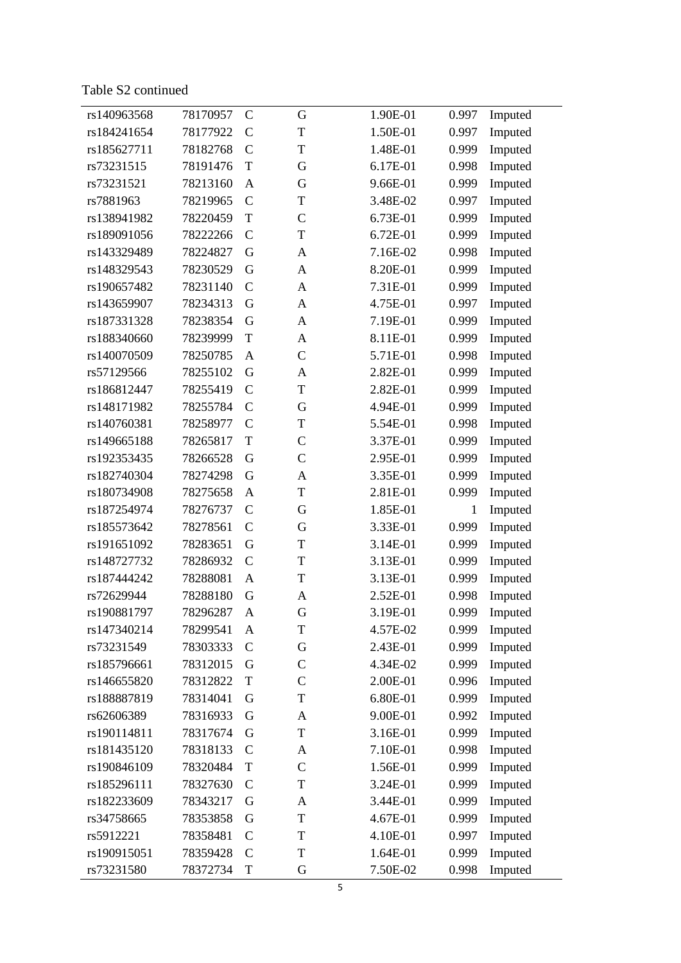Table S 2 continued

| rs140963568 | 78170957 | $\mathcal{C}$ | G             | 1.90E-01 | 0.997        | Imputed |
|-------------|----------|---------------|---------------|----------|--------------|---------|
| rs184241654 | 78177922 | $\mathcal{C}$ | T             | 1.50E-01 | 0.997        | Imputed |
| rs185627711 | 78182768 | $\mathcal{C}$ | T             | 1.48E-01 | 0.999        | Imputed |
| rs73231515  | 78191476 | T             | G             | 6.17E-01 | 0.998        | Imputed |
| rs73231521  | 78213160 | A             | G             | 9.66E-01 | 0.999        | Imputed |
| rs7881963   | 78219965 | $\mathcal{C}$ | T             | 3.48E-02 | 0.997        | Imputed |
| rs138941982 | 78220459 | T             | $\mathcal{C}$ | 6.73E-01 | 0.999        | Imputed |
| rs189091056 | 78222266 | $\mathcal{C}$ | T             | 6.72E-01 | 0.999        | Imputed |
| rs143329489 | 78224827 | G             | A             | 7.16E-02 | 0.998        | Imputed |
| rs148329543 | 78230529 | G             | A             | 8.20E-01 | 0.999        | Imputed |
| rs190657482 | 78231140 | $\mathcal{C}$ | A             | 7.31E-01 | 0.999        | Imputed |
| rs143659907 | 78234313 | G             | A             | 4.75E-01 | 0.997        | Imputed |
| rs187331328 | 78238354 | G             | A             | 7.19E-01 | 0.999        | Imputed |
| rs188340660 | 78239999 | T             | A             | 8.11E-01 | 0.999        | Imputed |
| rs140070509 | 78250785 | A             | $\mathcal{C}$ | 5.71E-01 | 0.998        | Imputed |
| rs57129566  | 78255102 | G             | A             | 2.82E-01 | 0.999        | Imputed |
| rs186812447 | 78255419 | $\mathcal{C}$ | T             | 2.82E-01 | 0.999        | Imputed |
| rs148171982 | 78255784 | $\mathcal{C}$ | G             | 4.94E-01 | 0.999        | Imputed |
| rs140760381 | 78258977 | $\mathcal{C}$ | T             | 5.54E-01 | 0.998        | Imputed |
| rs149665188 | 78265817 | T             | $\mathsf{C}$  | 3.37E-01 | 0.999        | Imputed |
| rs192353435 | 78266528 | G             | $\mathcal{C}$ | 2.95E-01 | 0.999        | Imputed |
| rs182740304 | 78274298 | G             | A             | 3.35E-01 | 0.999        | Imputed |
| rs180734908 | 78275658 | A             | T             | 2.81E-01 | 0.999        | Imputed |
| rs187254974 | 78276737 | $\mathcal{C}$ | G             | 1.85E-01 | $\mathbf{1}$ | Imputed |
| rs185573642 | 78278561 | $\mathcal{C}$ | G             | 3.33E-01 | 0.999        | Imputed |
| rs191651092 | 78283651 | G             | T             | 3.14E-01 | 0.999        | Imputed |
| rs148727732 | 78286932 | $\mathcal{C}$ | T             | 3.13E-01 | 0.999        | Imputed |
| rs187444242 | 78288081 | $\mathbf{A}$  | T             | 3.13E-01 | 0.999        | Imputed |
| rs72629944  | 78288180 | G             | A             | 2.52E-01 | 0.998        | Imputed |
| rs190881797 | 78296287 | A             | G             | 3.19E-01 | 0.999        | Imputed |
| rs147340214 | 78299541 | A             | T             | 4.57E-02 | 0.999        | Imputed |
| rs73231549  | 78303333 | $\mathcal{C}$ | G             | 2.43E-01 | 0.999        | Imputed |
| rs185796661 | 78312015 | G             | $\mathcal{C}$ | 4.34E-02 | 0.999        | Imputed |
| rs146655820 | 78312822 | $\mathbf T$   | $\mathcal{C}$ | 2.00E-01 | 0.996        | Imputed |
| rs188887819 | 78314041 | G             | T             | 6.80E-01 | 0.999        | Imputed |
| rs62606389  | 78316933 | G             | A             | 9.00E-01 | 0.992        | Imputed |
| rs190114811 | 78317674 | G             | T             | 3.16E-01 | 0.999        | Imputed |
| rs181435120 | 78318133 | $\mathcal{C}$ | A             | 7.10E-01 | 0.998        | Imputed |
| rs190846109 | 78320484 | T             | $\mathcal{C}$ | 1.56E-01 | 0.999        | Imputed |
| rs185296111 | 78327630 | $\mathcal{C}$ | T             | 3.24E-01 | 0.999        | Imputed |
| rs182233609 | 78343217 | G             | A             | 3.44E-01 | 0.999        | Imputed |
| rs34758665  | 78353858 | G             | T             | 4.67E-01 | 0.999        | Imputed |
| rs5912221   | 78358481 | $\mathcal{C}$ | T             | 4.10E-01 | 0.997        | Imputed |
| rs190915051 | 78359428 | $\mathcal{C}$ | T             | 1.64E-01 | 0.999        | Imputed |
| rs73231580  | 78372734 | $\mathbf T$   | G             | 7.50E-02 | 0.998        | Imputed |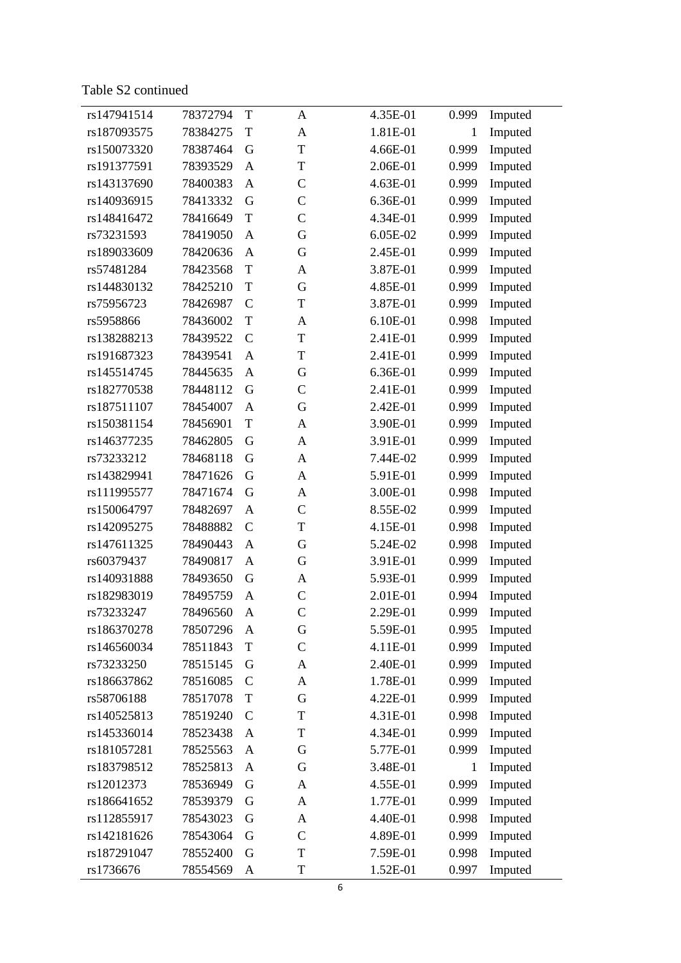Table S 2 continued

| rs147941514 | 78372794 | T             | A             | 4.35E-01 | 0.999        | Imputed |
|-------------|----------|---------------|---------------|----------|--------------|---------|
| rs187093575 | 78384275 | T             | A             | 1.81E-01 | $\mathbf{1}$ | Imputed |
| rs150073320 | 78387464 | G             | T             | 4.66E-01 | 0.999        | Imputed |
| rs191377591 | 78393529 | $\mathbf{A}$  | T             | 2.06E-01 | 0.999        | Imputed |
| rs143137690 | 78400383 | A             | $\mathcal{C}$ | 4.63E-01 | 0.999        | Imputed |
| rs140936915 | 78413332 | G             | $\mathcal{C}$ | 6.36E-01 | 0.999        | Imputed |
| rs148416472 | 78416649 | $\mathbf T$   | $\mathcal{C}$ | 4.34E-01 | 0.999        | Imputed |
| rs73231593  | 78419050 | $\mathbf{A}$  | G             | 6.05E-02 | 0.999        | Imputed |
| rs189033609 | 78420636 | $\mathbf{A}$  | G             | 2.45E-01 | 0.999        | Imputed |
| rs57481284  | 78423568 | $\mathbf T$   | A             | 3.87E-01 | 0.999        | Imputed |
| rs144830132 | 78425210 | $\mathbf T$   | G             | 4.85E-01 | 0.999        | Imputed |
| rs75956723  | 78426987 | $\mathcal{C}$ | T             | 3.87E-01 | 0.999        | Imputed |
| rs5958866   | 78436002 | $\mathbf T$   | A             | 6.10E-01 | 0.998        | Imputed |
| rs138288213 | 78439522 | $\mathcal{C}$ | T             | 2.41E-01 | 0.999        | Imputed |
| rs191687323 | 78439541 | $\mathbf{A}$  | T             | 2.41E-01 | 0.999        | Imputed |
| rs145514745 | 78445635 | $\mathbf{A}$  | G             | 6.36E-01 | 0.999        | Imputed |
| rs182770538 | 78448112 | G             | $\mathcal{C}$ | 2.41E-01 | 0.999        | Imputed |
| rs187511107 | 78454007 | $\mathbf{A}$  | G             | 2.42E-01 | 0.999        | Imputed |
| rs150381154 | 78456901 | $\mathbf T$   | A             | 3.90E-01 | 0.999        | Imputed |
| rs146377235 | 78462805 | G             | A             | 3.91E-01 | 0.999        | Imputed |
| rs73233212  | 78468118 | G             | A             | 7.44E-02 | 0.999        | Imputed |
| rs143829941 | 78471626 | G             | A             | 5.91E-01 | 0.999        | Imputed |
| rs111995577 | 78471674 | G             | A             | 3.00E-01 | 0.998        | Imputed |
| rs150064797 | 78482697 | $\mathbf{A}$  | $\mathsf{C}$  | 8.55E-02 | 0.999        | Imputed |
| rs142095275 | 78488882 | $\mathcal{C}$ | T             | 4.15E-01 | 0.998        | Imputed |
| rs147611325 | 78490443 | $\mathbf{A}$  | G             | 5.24E-02 | 0.998        | Imputed |
| rs60379437  | 78490817 | $\mathbf{A}$  | G             | 3.91E-01 | 0.999        | Imputed |
| rs140931888 | 78493650 | G             | A             | 5.93E-01 | 0.999        | Imputed |
| rs182983019 | 78495759 | $\mathbf{A}$  | $\mathcal{C}$ | 2.01E-01 | 0.994        | Imputed |
| rs73233247  | 78496560 | A             | $\mathsf{C}$  | 2.29E-01 | 0.999        | Imputed |
| rs186370278 | 78507296 | A             | G             | 5.59E-01 | 0.995        | Imputed |
| rs146560034 | 78511843 | $\mathbf T$   | $\mathcal{C}$ | 4.11E-01 | 0.999        | Imputed |
| rs73233250  | 78515145 | G             | A             | 2.40E-01 | 0.999        | Imputed |
| rs186637862 | 78516085 | $\mathcal{C}$ | A             | 1.78E-01 | 0.999        | Imputed |
| rs58706188  | 78517078 | $\mathbf T$   | G             | 4.22E-01 | 0.999        | Imputed |
| rs140525813 | 78519240 | $\mathcal{C}$ | T             | 4.31E-01 | 0.998        | Imputed |
| rs145336014 | 78523438 | $\mathbf{A}$  | T             | 4.34E-01 | 0.999        | Imputed |
| rs181057281 | 78525563 | $\mathbf{A}$  | G             | 5.77E-01 | 0.999        | Imputed |
| rs183798512 | 78525813 | $\mathbf{A}$  | G             | 3.48E-01 | 1            | Imputed |
| rs12012373  | 78536949 | G             | A             | 4.55E-01 | 0.999        | Imputed |
| rs186641652 | 78539379 | G             | A             | 1.77E-01 | 0.999        | Imputed |
| rs112855917 | 78543023 | G             | A             | 4.40E-01 | 0.998        | Imputed |
| rs142181626 | 78543064 | G             | $\mathcal{C}$ | 4.89E-01 | 0.999        | Imputed |
| rs187291047 | 78552400 | G             | T             | 7.59E-01 | 0.998        | Imputed |
| rs1736676   | 78554569 | A             | T             | 1.52E-01 | 0.997        | Imputed |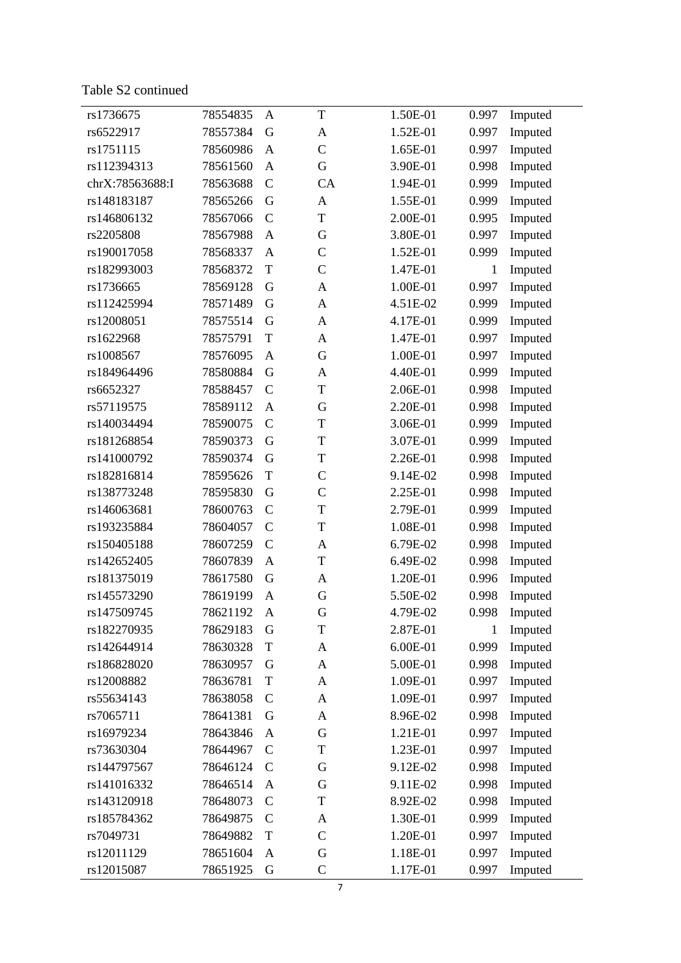Table S 2 continued

| rs1736675       | 78554835 | A             | T              | 1.50E-01 | 0.997        | Imputed |
|-----------------|----------|---------------|----------------|----------|--------------|---------|
| rs6522917       | 78557384 | G             | $\mathbf{A}$   | 1.52E-01 | 0.997        | Imputed |
| rs1751115       | 78560986 | $\mathbf{A}$  | $\mathcal{C}$  | 1.65E-01 | 0.997        | Imputed |
| rs112394313     | 78561560 | $\mathbf{A}$  | G              | 3.90E-01 | 0.998        | Imputed |
| chrX:78563688:I | 78563688 | $\mathbf C$   | CA             | 1.94E-01 | 0.999        | Imputed |
| rs148183187     | 78565266 | G             | $\mathbf{A}$   | 1.55E-01 | 0.999        | Imputed |
| rs146806132     | 78567066 | $\mathbf C$   | T              | 2.00E-01 | 0.995        | Imputed |
| rs2205808       | 78567988 | $\mathbf{A}$  | G              | 3.80E-01 | 0.997        | Imputed |
| rs190017058     | 78568337 | $\mathbf{A}$  | $\mathcal{C}$  | 1.52E-01 | 0.999        | Imputed |
| rs182993003     | 78568372 | $\mathbf T$   | $\mathcal{C}$  | 1.47E-01 | $\mathbf{1}$ | Imputed |
| rs1736665       | 78569128 | G             | $\mathbf{A}$   | 1.00E-01 | 0.997        | Imputed |
| rs112425994     | 78571489 | G             | $\mathbf{A}$   | 4.51E-02 | 0.999        | Imputed |
| rs12008051      | 78575514 | G             | $\mathbf{A}$   | 4.17E-01 | 0.999        | Imputed |
| rs1622968       | 78575791 | $\mathbf T$   | $\mathbf{A}$   | 1.47E-01 | 0.997        | Imputed |
| rs1008567       | 78576095 | $\mathbf{A}$  | G              | 1.00E-01 | 0.997        | Imputed |
| rs184964496     | 78580884 | G             | $\mathbf{A}$   | 4.40E-01 | 0.999        | Imputed |
| rs6652327       | 78588457 | $\mathbf C$   | T              | 2.06E-01 | 0.998        | Imputed |
| rs57119575      | 78589112 | $\mathbf{A}$  | G              | 2.20E-01 | 0.998        | Imputed |
| rs140034494     | 78590075 | $\mathbf C$   | T              | 3.06E-01 | 0.999        | Imputed |
| rs181268854     | 78590373 | G             | T              | 3.07E-01 | 0.999        | Imputed |
| rs141000792     | 78590374 | G             | T              | 2.26E-01 | 0.998        | Imputed |
| rs182816814     | 78595626 | $\mathbf T$   | $\mathbf C$    | 9.14E-02 | 0.998        | Imputed |
| rs138773248     | 78595830 | G             | $\mathcal{C}$  | 2.25E-01 | 0.998        | Imputed |
| rs146063681     | 78600763 | $\mathcal{C}$ | T              | 2.79E-01 | 0.999        | Imputed |
| rs193235884     | 78604057 | $\mathcal{C}$ | T              | 1.08E-01 | 0.998        | Imputed |
| rs150405188     | 78607259 | $\mathcal{C}$ | $\mathbf{A}$   | 6.79E-02 | 0.998        | Imputed |
| rs142652405     | 78607839 | $\mathbf{A}$  | T              | 6.49E-02 | 0.998        | Imputed |
| rs181375019     | 78617580 | G             | $\mathbf{A}$   | 1.20E-01 | 0.996        | Imputed |
| rs145573290     | 78619199 | $\mathbf{A}$  | G              | 5.50E-02 | 0.998        | Imputed |
| rs147509745     | 78621192 | $\mathbf{A}$  | G              | 4.79E-02 | 0.998        | Imputed |
| rs182270935     | 78629183 | G             | T              | 2.87E-01 | 1            | Imputed |
| rs142644914     | 78630328 | $\mathbf T$   | $\overline{A}$ | 6.00E-01 | 0.999        | Imputed |
| rs186828020     | 78630957 | G             | A              | 5.00E-01 | 0.998        | Imputed |
| rs12008882      | 78636781 | $\mathbf T$   | A              | 1.09E-01 | 0.997        | Imputed |
| rs55634143      | 78638058 | $\mathcal{C}$ | A              | 1.09E-01 | 0.997        | Imputed |
| rs7065711       | 78641381 | G             | A              | 8.96E-02 | 0.998        | Imputed |
| rs16979234      | 78643846 | $\mathbf{A}$  | G              | 1.21E-01 | 0.997        | Imputed |
| rs73630304      | 78644967 | $\mathbf C$   | T              | 1.23E-01 | 0.997        | Imputed |
| rs144797567     | 78646124 | $\mathcal{C}$ | G              | 9.12E-02 | 0.998        | Imputed |
| rs141016332     | 78646514 | $\mathbf{A}$  | G              | 9.11E-02 | 0.998        | Imputed |
| rs143120918     | 78648073 | $\mathbf C$   | T              | 8.92E-02 | 0.998        | Imputed |
| rs185784362     | 78649875 | $\mathcal{C}$ | A              | 1.30E-01 | 0.999        | Imputed |
| rs7049731       | 78649882 | $\mathbf T$   | $\mathcal{C}$  | 1.20E-01 | 0.997        | Imputed |
| rs12011129      | 78651604 | $\mathbf{A}$  | G              | 1.18E-01 | 0.997        | Imputed |
| rs12015087      | 78651925 | G             | $\mathsf{C}$   | 1.17E-01 | 0.997        | Imputed |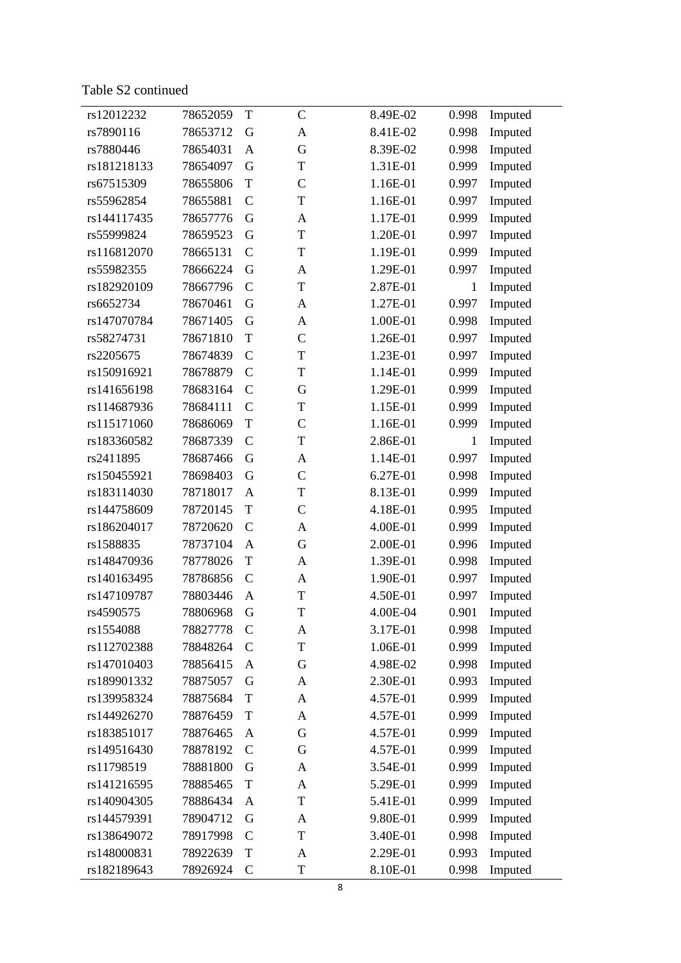Table S 2 continued

| rs12012232  | 78652059 | T             | $\mathbf C$   | 8.49E-02 | 0.998        | Imputed |
|-------------|----------|---------------|---------------|----------|--------------|---------|
| rs7890116   | 78653712 | G             | A             | 8.41E-02 | 0.998        | Imputed |
| rs7880446   | 78654031 | $\mathbf{A}$  | G             | 8.39E-02 | 0.998        | Imputed |
| rs181218133 | 78654097 | G             | T             | 1.31E-01 | 0.999        | Imputed |
| rs67515309  | 78655806 | $\mathbf T$   | $\mathcal{C}$ | 1.16E-01 | 0.997        | Imputed |
| rs55962854  | 78655881 | $\mathcal{C}$ | T             | 1.16E-01 | 0.997        | Imputed |
| rs144117435 | 78657776 | G             | A             | 1.17E-01 | 0.999        | Imputed |
| rs55999824  | 78659523 | G             | T             | 1.20E-01 | 0.997        | Imputed |
| rs116812070 | 78665131 | $\mathcal{C}$ | T             | 1.19E-01 | 0.999        | Imputed |
| rs55982355  | 78666224 | G             | A             | 1.29E-01 | 0.997        | Imputed |
| rs182920109 | 78667796 | $\mathcal{C}$ | T             | 2.87E-01 | 1            | Imputed |
| rs6652734   | 78670461 | G             | A             | 1.27E-01 | 0.997        | Imputed |
| rs147070784 | 78671405 | G             | A             | 1.00E-01 | 0.998        | Imputed |
| rs58274731  | 78671810 | $\mathbf T$   | $\mathcal{C}$ | 1.26E-01 | 0.997        | Imputed |
| rs2205675   | 78674839 | $\mathcal{C}$ | T             | 1.23E-01 | 0.997        | Imputed |
| rs150916921 | 78678879 | $\mathcal{C}$ | T             | 1.14E-01 | 0.999        | Imputed |
| rs141656198 | 78683164 | $\mathcal{C}$ | G             | 1.29E-01 | 0.999        | Imputed |
| rs114687936 | 78684111 | $\mathcal{C}$ | T             | 1.15E-01 | 0.999        | Imputed |
| rs115171060 | 78686069 | $\mathbf T$   | $\mathcal{C}$ | 1.16E-01 | 0.999        | Imputed |
| rs183360582 | 78687339 | $\mathcal{C}$ | T             | 2.86E-01 | $\mathbf{1}$ | Imputed |
| rs2411895   | 78687466 | G             | A             | 1.14E-01 | 0.997        | Imputed |
| rs150455921 | 78698403 | G             | $\mathcal{C}$ | 6.27E-01 | 0.998        | Imputed |
| rs183114030 | 78718017 | A             | T             | 8.13E-01 | 0.999        | Imputed |
| rs144758609 | 78720145 | $\mathbf T$   | $\mathcal{C}$ | 4.18E-01 | 0.995        | Imputed |
| rs186204017 | 78720620 | $\mathcal{C}$ | A             | 4.00E-01 | 0.999        | Imputed |
| rs1588835   | 78737104 | $\mathbf{A}$  | G             | 2.00E-01 | 0.996        | Imputed |
| rs148470936 | 78778026 | T             | A             | 1.39E-01 | 0.998        | Imputed |
| rs140163495 | 78786856 | $\mathbf C$   | A             | 1.90E-01 | 0.997        | Imputed |
| rs147109787 | 78803446 | $\mathbf{A}$  | T             | 4.50E-01 | 0.997        | Imputed |
| rs4590575   | 78806968 | G             | T             | 4.00E-04 | 0.901        | Imputed |
| rs1554088   | 78827778 | $\mathcal{C}$ | A             | 3.17E-01 | 0.998        | Imputed |
| rs112702388 | 78848264 | $\mathbf C$   | T             | 1.06E-01 | 0.999        | Imputed |
| rs147010403 | 78856415 | A             | G             | 4.98E-02 | 0.998        | Imputed |
| rs189901332 | 78875057 | G             | A             | 2.30E-01 | 0.993        | Imputed |
| rs139958324 | 78875684 | $\mathbf T$   | A             | 4.57E-01 | 0.999        | Imputed |
| rs144926270 | 78876459 | $\mathbf T$   | A             | 4.57E-01 | 0.999        | Imputed |
| rs183851017 | 78876465 | $\mathbf{A}$  | G             | 4.57E-01 | 0.999        | Imputed |
| rs149516430 | 78878192 | $\mathbf C$   | G             | 4.57E-01 | 0.999        | Imputed |
| rs11798519  | 78881800 | G             | A             | 3.54E-01 | 0.999        | Imputed |
| rs141216595 | 78885465 | $\mathbf T$   | A             | 5.29E-01 | 0.999        | Imputed |
| rs140904305 | 78886434 | $\mathbf{A}$  | T             | 5.41E-01 | 0.999        | Imputed |
| rs144579391 | 78904712 | G             | A             | 9.80E-01 | 0.999        | Imputed |
| rs138649072 | 78917998 | $\mathcal{C}$ | T             | 3.40E-01 | 0.998        | Imputed |
| rs148000831 | 78922639 | $\mathbf T$   | A             | 2.29E-01 | 0.993        | Imputed |
| rs182189643 | 78926924 | $\mathbf C$   | T             | 8.10E-01 | 0.998        | Imputed |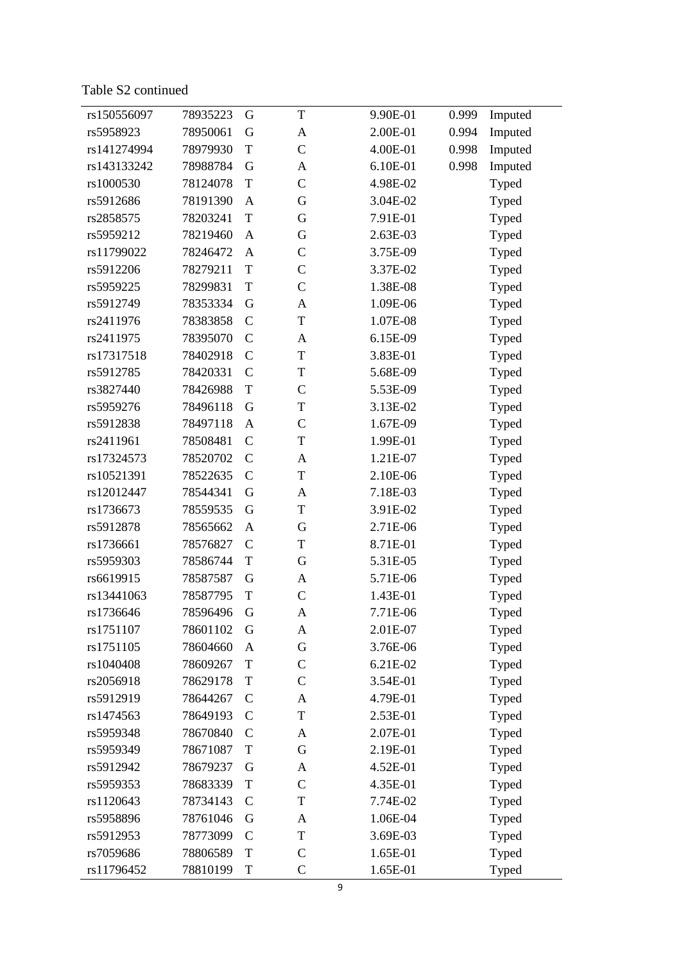Table S 2 continued

| rs150556097 | 78935223 | G             | T             | 9.90E-01 | 0.999 | Imputed |  |
|-------------|----------|---------------|---------------|----------|-------|---------|--|
| rs5958923   | 78950061 | G             | A             | 2.00E-01 | 0.994 | Imputed |  |
| rs141274994 | 78979930 | T             | $\mathcal{C}$ | 4.00E-01 | 0.998 | Imputed |  |
| rs143133242 | 78988784 | G             | A             | 6.10E-01 | 0.998 | Imputed |  |
| rs1000530   | 78124078 | T             | $\mathcal{C}$ | 4.98E-02 |       | Typed   |  |
| rs5912686   | 78191390 | A             | G             | 3.04E-02 |       | Typed   |  |
| rs2858575   | 78203241 | T             | G             | 7.91E-01 |       | Typed   |  |
| rs5959212   | 78219460 | $\mathbf{A}$  | G             | 2.63E-03 |       | Typed   |  |
| rs11799022  | 78246472 | A             | $\mathcal{C}$ | 3.75E-09 |       | Typed   |  |
| rs5912206   | 78279211 | $\mathbf T$   | $\mathcal{C}$ | 3.37E-02 |       | Typed   |  |
| rs5959225   | 78299831 | T             | $\mathcal{C}$ | 1.38E-08 |       | Typed   |  |
| rs5912749   | 78353334 | G             | A             | 1.09E-06 |       | Typed   |  |
| rs2411976   | 78383858 | $\mathcal{C}$ | T             | 1.07E-08 |       | Typed   |  |
| rs2411975   | 78395070 | $\mathcal{C}$ | A             | 6.15E-09 |       | Typed   |  |
| rs17317518  | 78402918 | $\mathcal{C}$ | T             | 3.83E-01 |       | Typed   |  |
| rs5912785   | 78420331 | $\mathcal{C}$ | $\mathbf T$   | 5.68E-09 |       | Typed   |  |
| rs3827440   | 78426988 | T             | $\mathcal{C}$ | 5.53E-09 |       | Typed   |  |
| rs5959276   | 78496118 | G             | T             | 3.13E-02 |       | Typed   |  |
| rs5912838   | 78497118 | A             | $\mathcal{C}$ | 1.67E-09 |       | Typed   |  |
| rs2411961   | 78508481 | $\mathcal{C}$ | $\mathbf T$   | 1.99E-01 |       | Typed   |  |
| rs17324573  | 78520702 | $\mathcal{C}$ | A             | 1.21E-07 |       | Typed   |  |
| rs10521391  | 78522635 | $\mathcal{C}$ | T             | 2.10E-06 |       | Typed   |  |
| rs12012447  | 78544341 | G             | A             | 7.18E-03 |       | Typed   |  |
| rs1736673   | 78559535 | G             | $\mathbf T$   | 3.91E-02 |       | Typed   |  |
| rs5912878   | 78565662 | A             | G             | 2.71E-06 |       | Typed   |  |
| rs1736661   | 78576827 | $\mathcal{C}$ | T             | 8.71E-01 |       | Typed   |  |
| rs5959303   | 78586744 | T             | G             | 5.31E-05 |       | Typed   |  |
| rs6619915   | 78587587 | G             | A             | 5.71E-06 |       | Typed   |  |
| rs13441063  | 78587795 | T             | $\mathcal{C}$ | 1.43E-01 |       | Typed   |  |
| rs1736646   | 78596496 | G             | A             | 7.71E-06 |       | Typed   |  |
| rs1751107   | 78601102 | G             | A             | 2.01E-07 |       | Typed   |  |
| rs1751105   | 78604660 | A             | G             | 3.76E-06 |       | Typed   |  |
| rs1040408   | 78609267 | T             | $\mathbf C$   | 6.21E-02 |       | Typed   |  |
| rs2056918   | 78629178 | $\mathbf T$   | $\mathcal{C}$ | 3.54E-01 |       | Typed   |  |
| rs5912919   | 78644267 | $\mathcal{C}$ | A             | 4.79E-01 |       | Typed   |  |
| rs1474563   | 78649193 | $\mathcal{C}$ | T             | 2.53E-01 |       | Typed   |  |
| rs5959348   | 78670840 | $\mathbf C$   | A             | 2.07E-01 |       | Typed   |  |
| rs5959349   | 78671087 | $\mathbf T$   | G             | 2.19E-01 |       | Typed   |  |
| rs5912942   | 78679237 | G             | A             | 4.52E-01 |       | Typed   |  |
| rs5959353   | 78683339 | $\mathbf T$   | $\mathcal{C}$ | 4.35E-01 |       | Typed   |  |
| rs1120643   | 78734143 | $\mathcal{C}$ | T             | 7.74E-02 |       | Typed   |  |
| rs5958896   | 78761046 | G             | A             | 1.06E-04 |       | Typed   |  |
| rs5912953   | 78773099 | $\mathcal{C}$ | T             | 3.69E-03 |       | Typed   |  |
| rs7059686   | 78806589 | T             | $\mathcal{C}$ | 1.65E-01 |       | Typed   |  |
| rs11796452  | 78810199 | T             | $\mathsf{C}$  | 1.65E-01 |       | Typed   |  |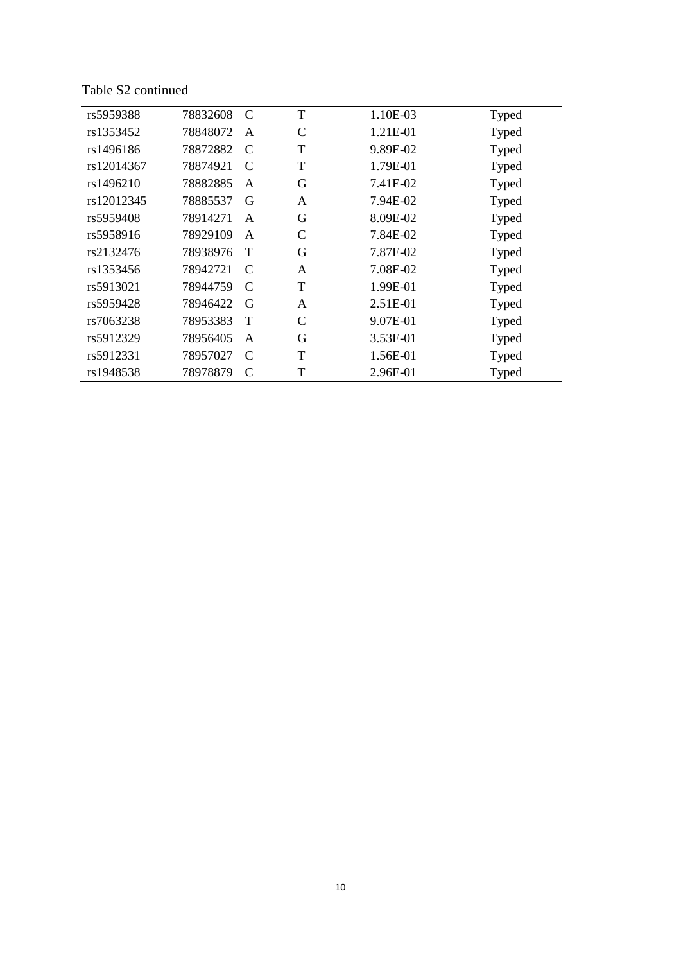Table S2 continued

| rs5959388  | 78832608 | $\mathcal{C}$ | T             | 1.10E-03 | Typed |
|------------|----------|---------------|---------------|----------|-------|
| rs1353452  | 78848072 | A             | $\mathcal{C}$ | 1.21E-01 | Typed |
| rs1496186  | 78872882 | $\mathcal{C}$ | T             | 9.89E-02 | Typed |
| rs12014367 | 78874921 | $\mathcal{C}$ | T             | 1.79E-01 | Typed |
| rs1496210  | 78882885 | A             | G             | 7.41E-02 | Typed |
| rs12012345 | 78885537 | G             | A             | 7.94E-02 | Typed |
| rs5959408  | 78914271 | A             | G             | 8.09E-02 | Typed |
| rs5958916  | 78929109 | $\mathsf{A}$  | C             | 7.84E-02 | Typed |
| rs2132476  | 78938976 | T             | G             | 7.87E-02 | Typed |
| rs1353456  | 78942721 | $\mathcal{C}$ | A             | 7.08E-02 | Typed |
| rs5913021  | 78944759 | $\mathcal{C}$ | T             | 1.99E-01 | Typed |
| rs5959428  | 78946422 | G             | A             | 2.51E-01 | Typed |
| rs7063238  | 78953383 | T             | $\mathcal{C}$ | 9.07E-01 | Typed |
| rs5912329  | 78956405 | A             | G             | 3.53E-01 | Typed |
| rs5912331  | 78957027 | $\mathcal{C}$ | T             | 1.56E-01 | Typed |
| rs1948538  | 78978879 | $\mathcal{C}$ | T             | 2.96E-01 | Typed |